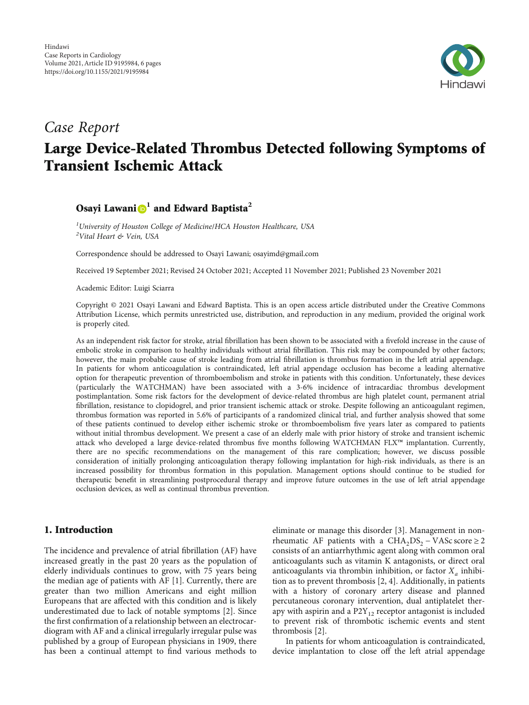

# Case Report Large Device-Related Thrombus Detected following Symptoms of Transient Ischemic Attack

## Osayi Lawani<sup>D</sup><sup>1</sup> and Edward Baptista<sup>2</sup>

<sup>1</sup>University of Houston College of Medicine/HCA Houston Healthcare, USA <sup>2</sup>Vital Heart & Vein, USA

Correspondence should be addressed to Osayi Lawani; osayimd@gmail.com

Received 19 September 2021; Revised 24 October 2021; Accepted 11 November 2021; Published 23 November 2021

Academic Editor: Luigi Sciarra

Copyright © 2021 Osayi Lawani and Edward Baptista. This is an open access article distributed under the [Creative Commons](https://creativecommons.org/licenses/by/4.0/) [Attribution License](https://creativecommons.org/licenses/by/4.0/), which permits unrestricted use, distribution, and reproduction in any medium, provided the original work is properly cited.

As an independent risk factor for stroke, atrial fibrillation has been shown to be associated with a fivefold increase in the cause of embolic stroke in comparison to healthy individuals without atrial fibrillation. This risk may be compounded by other factors; however, the main probable cause of stroke leading from atrial fibrillation is thrombus formation in the left atrial appendage. In patients for whom anticoagulation is contraindicated, left atrial appendage occlusion has become a leading alternative option for therapeutic prevention of thromboembolism and stroke in patients with this condition. Unfortunately, these devices (particularly the WATCHMAN) have been associated with a 3-6% incidence of intracardiac thrombus development postimplantation. Some risk factors for the development of device-related thrombus are high platelet count, permanent atrial fibrillation, resistance to clopidogrel, and prior transient ischemic attack or stroke. Despite following an anticoagulant regimen, thrombus formation was reported in 5.6% of participants of a randomized clinical trial, and further analysis showed that some of these patients continued to develop either ischemic stroke or thromboembolism five years later as compared to patients without initial thrombus development. We present a case of an elderly male with prior history of stroke and transient ischemic attack who developed a large device-related thrombus five months following WATCHMAN FLX™ implantation. Currently, there are no specific recommendations on the management of this rare complication; however, we discuss possible consideration of initially prolonging anticoagulation therapy following implantation for high-risk individuals, as there is an increased possibility for thrombus formation in this population. Management options should continue to be studied for therapeutic benefit in streamlining postprocedural therapy and improve future outcomes in the use of left atrial appendage occlusion devices, as well as continual thrombus prevention.

## 1. Introduction

The incidence and prevalence of atrial fibrillation (AF) have increased greatly in the past 20 years as the population of elderly individuals continues to grow, with 75 years being the median age of patients with AF [\[1](#page-5-0)]. Currently, there are greater than two million Americans and eight million Europeans that are affected with this condition and is likely underestimated due to lack of notable symptoms [\[2](#page-5-0)]. Since the first confirmation of a relationship between an electrocardiogram with AF and a clinical irregularly irregular pulse was published by a group of European physicians in 1909, there has been a continual attempt to find various methods to

eliminate or manage this disorder [\[3\]](#page-5-0). Management in nonrheumatic AF patients with a CHA<sub>2</sub>DS<sub>2</sub> – VASc score ≥ 2 consists of an antiarrhythmic agent along with common oral anticoagulants such as vitamin K antagonists, or direct oral anticoagulants via thrombin inhibition, or factor  $X_a$  inhibition as to prevent thrombosis [[2](#page-5-0), [4\]](#page-5-0). Additionally, in patients with a history of coronary artery disease and planned percutaneous coronary intervention, dual antiplatelet therapy with aspirin and a  $P2Y_{12}$  receptor antagonist is included to prevent risk of thrombotic ischemic events and stent thrombosis [\[2\]](#page-5-0).

In patients for whom anticoagulation is contraindicated, device implantation to close off the left atrial appendage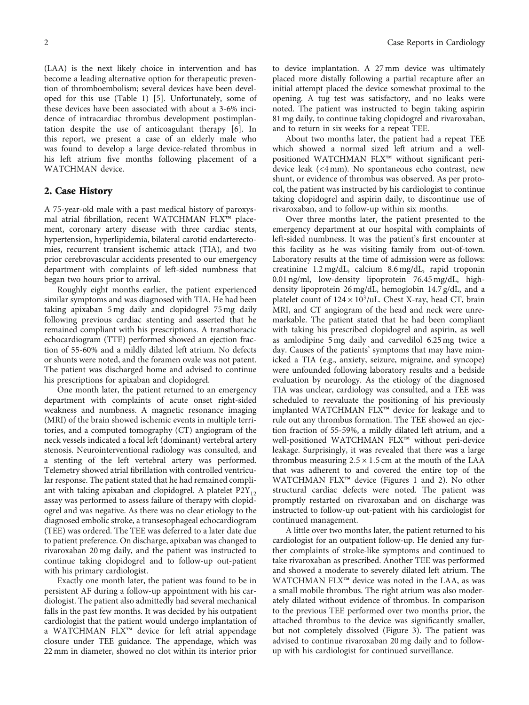(LAA) is the next likely choice in intervention and has become a leading alternative option for therapeutic prevention of thromboembolism; several devices have been developed for this use (Table [1](#page-2-0)) [\[5](#page-5-0)]. Unfortunately, some of these devices have been associated with about a 3-6% incidence of intracardiac thrombus development postimplantation despite the use of anticoagulant therapy [[6](#page-5-0)]. In this report, we present a case of an elderly male who was found to develop a large device-related thrombus in his left atrium five months following placement of a WATCHMAN device.

## 2. Case History

A 75-year-old male with a past medical history of paroxysmal atrial fibrillation, recent WATCHMAN FLX™ placement, coronary artery disease with three cardiac stents, hypertension, hyperlipidemia, bilateral carotid endarterectomies, recurrent transient ischemic attack (TIA), and two prior cerebrovascular accidents presented to our emergency department with complaints of left-sided numbness that began two hours prior to arrival.

Roughly eight months earlier, the patient experienced similar symptoms and was diagnosed with TIA. He had been taking apixaban 5 mg daily and clopidogrel 75 mg daily following previous cardiac stenting and asserted that he remained compliant with his prescriptions. A transthoracic echocardiogram (TTE) performed showed an ejection fraction of 55-60% and a mildly dilated left atrium. No defects or shunts were noted, and the foramen ovale was not patent. The patient was discharged home and advised to continue his prescriptions for apixaban and clopidogrel.

One month later, the patient returned to an emergency department with complaints of acute onset right-sided weakness and numbness. A magnetic resonance imaging (MRI) of the brain showed ischemic events in multiple territories, and a computed tomography (CT) angiogram of the neck vessels indicated a focal left (dominant) vertebral artery stenosis. Neurointerventional radiology was consulted, and a stenting of the left vertebral artery was performed. Telemetry showed atrial fibrillation with controlled ventricular response. The patient stated that he had remained compliant with taking apixaban and clopidogrel. A platelet  $P2Y_{12}$ assay was performed to assess failure of therapy with clopidogrel and was negative. As there was no clear etiology to the diagnosed embolic stroke, a transesophageal echocardiogram (TEE) was ordered. The TEE was deferred to a later date due to patient preference. On discharge, apixaban was changed to rivaroxaban 20 mg daily, and the patient was instructed to continue taking clopidogrel and to follow-up out-patient with his primary cardiologist.

Exactly one month later, the patient was found to be in persistent AF during a follow-up appointment with his cardiologist. The patient also admittedly had several mechanical falls in the past few months. It was decided by his outpatient cardiologist that the patient would undergo implantation of a WATCHMAN FLX™ device for left atrial appendage closure under TEE guidance. The appendage, which was 22 mm in diameter, showed no clot within its interior prior to device implantation. A 27 mm device was ultimately placed more distally following a partial recapture after an initial attempt placed the device somewhat proximal to the opening. A tug test was satisfactory, and no leaks were noted. The patient was instructed to begin taking aspirin 81 mg daily, to continue taking clopidogrel and rivaroxaban, and to return in six weeks for a repeat TEE.

About two months later, the patient had a repeat TEE which showed a normal sized left atrium and a wellpositioned WATCHMAN FLX™ without significant peridevice leak (<4 mm). No spontaneous echo contrast, new shunt, or evidence of thrombus was observed. As per protocol, the patient was instructed by his cardiologist to continue taking clopidogrel and aspirin daily, to discontinue use of rivaroxaban, and to follow-up within six months.

Over three months later, the patient presented to the emergency department at our hospital with complaints of left-sided numbness. It was the patient's first encounter at this facility as he was visiting family from out-of-town. Laboratory results at the time of admission were as follows: creatinine 1.2 mg/dL, calcium 8.6 mg/dL, rapid troponin 0.01 ng/ml, low-density lipoprotein 76.45 mg/dL, highdensity lipoprotein 26 mg/dL, hemoglobin 14.7 g/dL, and a platelet count of  $124 \times 10^3/\text{uL}$ . Chest X-ray, head CT, brain MRI, and CT angiogram of the head and neck were unremarkable. The patient stated that he had been compliant with taking his prescribed clopidogrel and aspirin, as well as amlodipine 5 mg daily and carvedilol 6.25 mg twice a day. Causes of the patients' symptoms that may have mimicked a TIA (e.g., anxiety, seizure, migraine, and syncope) were unfounded following laboratory results and a bedside evaluation by neurology. As the etiology of the diagnosed TIA was unclear, cardiology was consulted, and a TEE was scheduled to reevaluate the positioning of his previously implanted WATCHMAN FLX™ device for leakage and to rule out any thrombus formation. The TEE showed an ejection fraction of 55-59%, a mildly dilated left atrium, and a well-positioned WATCHMAN FLX™ without peri-device leakage. Surprisingly, it was revealed that there was a large thrombus measuring  $2.5 \times 1.5$  cm at the mouth of the LAA that was adherent to and covered the entire top of the WATCHMAN FLX™ device (Figures [1](#page-3-0) and [2\)](#page-3-0). No other structural cardiac defects were noted. The patient was promptly restarted on rivaroxaban and on discharge was instructed to follow-up out-patient with his cardiologist for continued management.

A little over two months later, the patient returned to his cardiologist for an outpatient follow-up. He denied any further complaints of stroke-like symptoms and continued to take rivaroxaban as prescribed. Another TEE was performed and showed a moderate to severely dilated left atrium. The WATCHMAN FLX™ device was noted in the LAA, as was a small mobile thrombus. The right atrium was also moderately dilated without evidence of thrombus. In comparison to the previous TEE performed over two months prior, the attached thrombus to the device was significantly smaller, but not completely dissolved (Figure [3](#page-3-0)). The patient was advised to continue rivaroxaban 20 mg daily and to followup with his cardiologist for continued surveillance.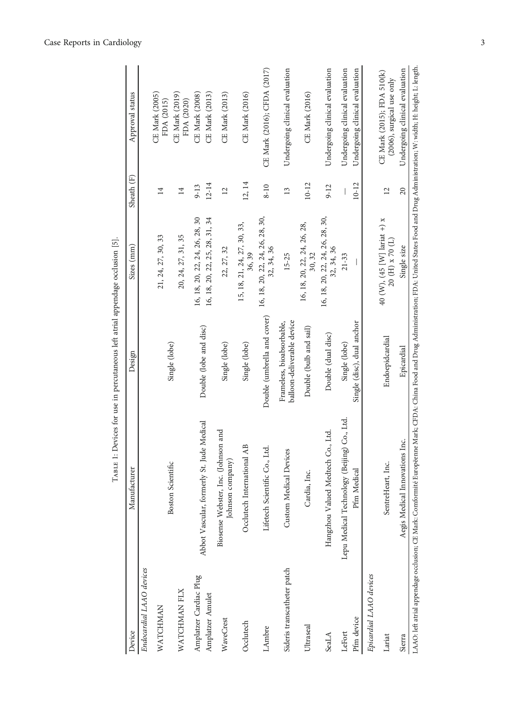<span id="page-2-0"></span>

| Abbot Vascular, formerly St. Jude Medical<br>Biosense Webster, Inc. (Johnson and<br>$\mathbf{AB}$<br>Lifetech Scientific Co., Ltd.<br>Custom Medical Devices<br>Johnson company)<br>Occlutech International<br>Boston Scientific<br>Manufacturer<br>Endocardial LAAO devices<br>Sideris transcatheter patch<br>Amplatzer Cardiac Plug<br>WATCHMAN FLX<br>Amplatzer Amulet<br>WATCHMAN<br>WaveCrest<br>Occlutech<br>LAmbre<br>Device | Double (umbrella and cover)<br>Double (lobe and disc)<br>Single (lobe)<br>Single (lobe)<br>Single (lobe)<br>Design | 16, 18, 20, 22, 24, 26, 28, 30<br>16, 18, 20, 22, 25, 28, 31, 34<br>15, 18, 21, 24, 27, 30, 33,<br>21, 24, 27, 30, 33<br>20, 24, 27, 31, 35<br>Sizes (mm)<br>22, 27, 32 | Sheath (F)<br>$\overline{14}$<br>14 | Approval status                                         |
|-------------------------------------------------------------------------------------------------------------------------------------------------------------------------------------------------------------------------------------------------------------------------------------------------------------------------------------------------------------------------------------------------------------------------------------|--------------------------------------------------------------------------------------------------------------------|-------------------------------------------------------------------------------------------------------------------------------------------------------------------------|-------------------------------------|---------------------------------------------------------|
|                                                                                                                                                                                                                                                                                                                                                                                                                                     |                                                                                                                    |                                                                                                                                                                         |                                     |                                                         |
|                                                                                                                                                                                                                                                                                                                                                                                                                                     |                                                                                                                    |                                                                                                                                                                         |                                     |                                                         |
|                                                                                                                                                                                                                                                                                                                                                                                                                                     |                                                                                                                    |                                                                                                                                                                         |                                     | CE Mark (2005)<br>FDA (2015)                            |
|                                                                                                                                                                                                                                                                                                                                                                                                                                     |                                                                                                                    |                                                                                                                                                                         |                                     | CE Mark (2019)<br>FDA (2020)                            |
|                                                                                                                                                                                                                                                                                                                                                                                                                                     |                                                                                                                    |                                                                                                                                                                         | $9 - 13$                            | CE Mark (2008)                                          |
|                                                                                                                                                                                                                                                                                                                                                                                                                                     |                                                                                                                    |                                                                                                                                                                         | $12 - 14$                           | CE Mark (2013)                                          |
|                                                                                                                                                                                                                                                                                                                                                                                                                                     |                                                                                                                    |                                                                                                                                                                         | $\overline{12}$                     | <b>CE Mark (2013)</b>                                   |
|                                                                                                                                                                                                                                                                                                                                                                                                                                     |                                                                                                                    | 36, 39                                                                                                                                                                  | 12, 14                              | CE Mark (2016)                                          |
|                                                                                                                                                                                                                                                                                                                                                                                                                                     |                                                                                                                    | 16, 18, 20, 22, 24, 26, 28, 30,<br>32, 34, 36                                                                                                                           | $8 - 10$                            | CE Mark (2016); CFDA (2017)                             |
|                                                                                                                                                                                                                                                                                                                                                                                                                                     | balloon-deliverable device<br>Frameless, bioabsorbable,                                                            | $15 - 25$                                                                                                                                                               | $\mathbf{13}$                       | Undergoing clinical evaluation                          |
| Cardia, Inc.<br>Ultraseal                                                                                                                                                                                                                                                                                                                                                                                                           | Double (bulb and sail)                                                                                             | 16, 18, 20, 22, 24, 26, 28,<br>30, 32                                                                                                                                   | $10 - 12$                           | CE Mark (2016)                                          |
| Co., Ltd<br>Hangzhou Valued Medtech<br>SeaLA                                                                                                                                                                                                                                                                                                                                                                                        | Double (dual disc)                                                                                                 | 16, 18, 20, 22, 24, 26, 28, 30,<br>32, 34, 36                                                                                                                           | $9 - 12$                            | Undergoing clinical evaluation                          |
| Lepu Medical Technology (Beijing) Co., Ltd.<br>LeFort                                                                                                                                                                                                                                                                                                                                                                               | Single (lobe)                                                                                                      | $21 - 33$                                                                                                                                                               |                                     | Undergoing clinical evaluation                          |
| Pfm Medical<br>Pfm device                                                                                                                                                                                                                                                                                                                                                                                                           | Single (disc), dual anchor                                                                                         |                                                                                                                                                                         | $10 - 12$                           | Undergoing clinical evaluation                          |
| Epicardial LAAO devices                                                                                                                                                                                                                                                                                                                                                                                                             |                                                                                                                    |                                                                                                                                                                         |                                     |                                                         |
| SentreHeart, Inc.<br>Lariat                                                                                                                                                                                                                                                                                                                                                                                                         | Endoepidcardial                                                                                                    | 40 (W), (45 [W] lariat +) $x$<br>20 (H) x 70 (L)                                                                                                                        | $\overline{2}$                      | CE Mark (2015); FDA 510(k)<br>(2006), surgical use only |
| Aegis Medical Innovations Inc.<br>Sierra                                                                                                                                                                                                                                                                                                                                                                                            | Epicardial                                                                                                         | Single size                                                                                                                                                             | $\Omega$                            | Undergoing clinical evaluation                          |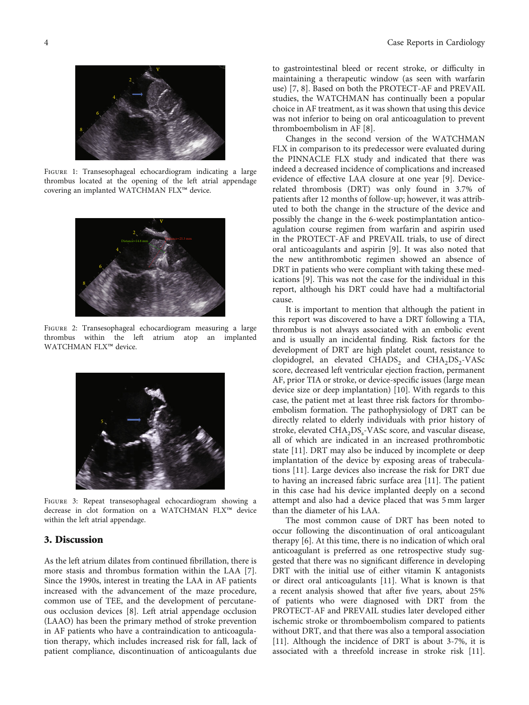<span id="page-3-0"></span>

Figure 1: Transesophageal echocardiogram indicating a large thrombus located at the opening of the left atrial appendage covering an implanted WATCHMAN FLX™ device.



Figure 2: Transesophageal echocardiogram measuring a large thrombus within the left atrium atop an implanted  $\mathbf{W}\mathbf{ATCHMAN}$  FLX™ device.



Figure 3: Repeat transesophageal echocardiogram showing a decrease in clot formation on a WATCHMAN FLX™ device within the left atrial appendage.

## 3. Discussion

As the left atrium dilates from continued fibrillation, there is more stasis and thrombus formation within the LAA [[7](#page-5-0)]. Since the 1990s, interest in treating the LAA in AF patients increased with the advancement of the maze procedure, common use of TEE, and the development of percutaneous occlusion devices [[8](#page-5-0)]. Left atrial appendage occlusion (LAAO) has been the primary method of stroke prevention in AF patients who have a contraindication to anticoagulation therapy, which includes increased risk for fall, lack of patient compliance, discontinuation of anticoagulants due

to gastrointestinal bleed or recent stroke, or difficulty in maintaining a therapeutic window (as seen with warfarin use) [[7](#page-5-0), [8](#page-5-0)]. Based on both the PROTECT-AF and PREVAIL studies, the WATCHMAN has continually been a popular choice in AF treatment, as it was shown that using this device was not inferior to being on oral anticoagulation to prevent thromboembolism in AF [\[8\]](#page-5-0).

Changes in the second version of the WATCHMAN FLX in comparison to its predecessor were evaluated during the PINNACLE FLX study and indicated that there was indeed a decreased incidence of complications and increased evidence of effective LAA closure at one year [\[9\]](#page-5-0). Devicerelated thrombosis (DRT) was only found in 3.7% of patients after 12 months of follow-up; however, it was attributed to both the change in the structure of the device and possibly the change in the 6-week postimplantation anticoagulation course regimen from warfarin and aspirin used in the PROTECT-AF and PREVAIL trials, to use of direct oral anticoagulants and aspirin [\[9](#page-5-0)]. It was also noted that the new antithrombotic regimen showed an absence of DRT in patients who were compliant with taking these medications [\[9](#page-5-0)]. This was not the case for the individual in this report, although his DRT could have had a multifactorial cause.

It is important to mention that although the patient in this report was discovered to have a DRT following a TIA, thrombus is not always associated with an embolic event and is usually an incidental finding. Risk factors for the development of DRT are high platelet count, resistance to clopidogrel, an elevated CHADS<sub>2</sub> and CHA<sub>2</sub>DS<sub>2</sub>-VASc score, decreased left ventricular ejection fraction, permanent AF, prior TIA or stroke, or device-specific issues (large mean device size or deep implantation) [[10](#page-5-0)]. With regards to this case, the patient met at least three risk factors for thromboembolism formation. The pathophysiology of DRT can be directly related to elderly individuals with prior history of stroke, elevated  $\text{CHA}_{2}\text{DS}_{\text{s}}\text{-}\text{VASc score},$  and vascular disease, all of which are indicated in an increased prothrombotic state [[11](#page-5-0)]. DRT may also be induced by incomplete or deep implantation of the device by exposing areas of trabeculations [\[11\]](#page-5-0). Large devices also increase the risk for DRT due to having an increased fabric surface area [[11](#page-5-0)]. The patient in this case had his device implanted deeply on a second attempt and also had a device placed that was 5 mm larger than the diameter of his LAA.

The most common cause of DRT has been noted to occur following the discontinuation of oral anticoagulant therapy [\[6](#page-5-0)]. At this time, there is no indication of which oral anticoagulant is preferred as one retrospective study suggested that there was no significant difference in developing DRT with the initial use of either vitamin K antagonists or direct oral anticoagulants [[11](#page-5-0)]. What is known is that a recent analysis showed that after five years, about 25% of patients who were diagnosed with DRT from the PROTECT-AF and PREVAIL studies later developed either ischemic stroke or thromboembolism compared to patients without DRT, and that there was also a temporal association [\[11\]](#page-5-0). Although the incidence of DRT is about 3-7%, it is associated with a threefold increase in stroke risk [[11](#page-5-0)].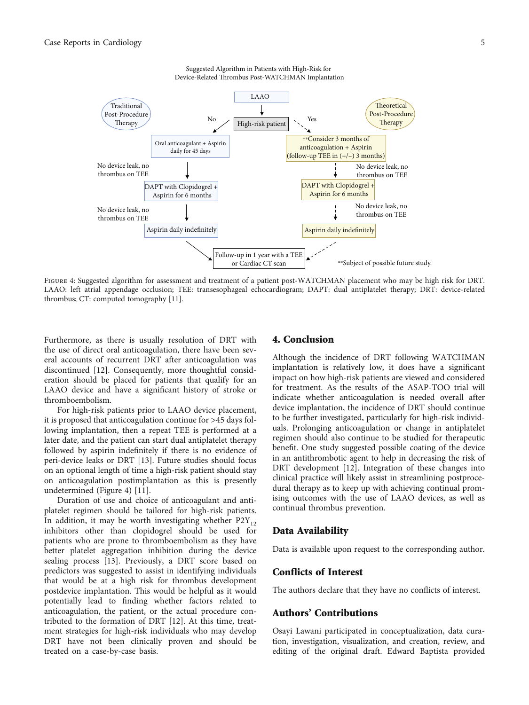

Suggested Algorithm in Patients with High-Risk for Device-Related Thrombus Post-WATCHMAN Implantation

FIGURE 4: Suggested algorithm for assessment and treatment of a patient post-WATCHMAN placement who may be high risk for DRT. LAAO: left atrial appendage occlusion; TEE: transesophageal echocardiogram; DAPT: dual antiplatelet therapy; DRT: device-related thrombus; CT: computed tomography [\[11\]](#page-5-0).

Furthermore, as there is usually resolution of DRT with the use of direct oral anticoagulation, there have been several accounts of recurrent DRT after anticoagulation was discontinued [\[12\]](#page-5-0). Consequently, more thoughtful consideration should be placed for patients that qualify for an LAAO device and have a significant history of stroke or thromboembolism.

For high-risk patients prior to LAAO device placement, it is proposed that anticoagulation continue for >45 days following implantation, then a repeat TEE is performed at a later date, and the patient can start dual antiplatelet therapy followed by aspirin indefinitely if there is no evidence of peri-device leaks or DRT [[13](#page-5-0)]. Future studies should focus on an optional length of time a high-risk patient should stay on anticoagulation postimplantation as this is presently undetermined (Figure 4) [[11\]](#page-5-0).

Duration of use and choice of anticoagulant and antiplatelet regimen should be tailored for high-risk patients. In addition, it may be worth investigating whether  $P2Y_{12}$ inhibitors other than clopidogrel should be used for patients who are prone to thromboembolism as they have better platelet aggregation inhibition during the device sealing process [\[13\]](#page-5-0). Previously, a DRT score based on predictors was suggested to assist in identifying individuals that would be at a high risk for thrombus development postdevice implantation. This would be helpful as it would potentially lead to finding whether factors related to anticoagulation, the patient, or the actual procedure contributed to the formation of DRT [\[12\]](#page-5-0). At this time, treatment strategies for high-risk individuals who may develop DRT have not been clinically proven and should be treated on a case-by-case basis.

## 4. Conclusion

Although the incidence of DRT following WATCHMAN implantation is relatively low, it does have a significant impact on how high-risk patients are viewed and considered for treatment. As the results of the ASAP-TOO trial will indicate whether anticoagulation is needed overall after device implantation, the incidence of DRT should continue to be further investigated, particularly for high-risk individuals. Prolonging anticoagulation or change in antiplatelet regimen should also continue to be studied for therapeutic benefit. One study suggested possible coating of the device in an antithrombotic agent to help in decreasing the risk of DRT development [\[12\]](#page-5-0). Integration of these changes into clinical practice will likely assist in streamlining postprocedural therapy as to keep up with achieving continual promising outcomes with the use of LAAO devices, as well as continual thrombus prevention.

#### Data Availability

Data is available upon request to the corresponding author.

## Conflicts of Interest

The authors declare that they have no conflicts of interest.

## Authors' Contributions

Osayi Lawani participated in conceptualization, data curation, investigation, visualization, and creation, review, and editing of the original draft. Edward Baptista provided